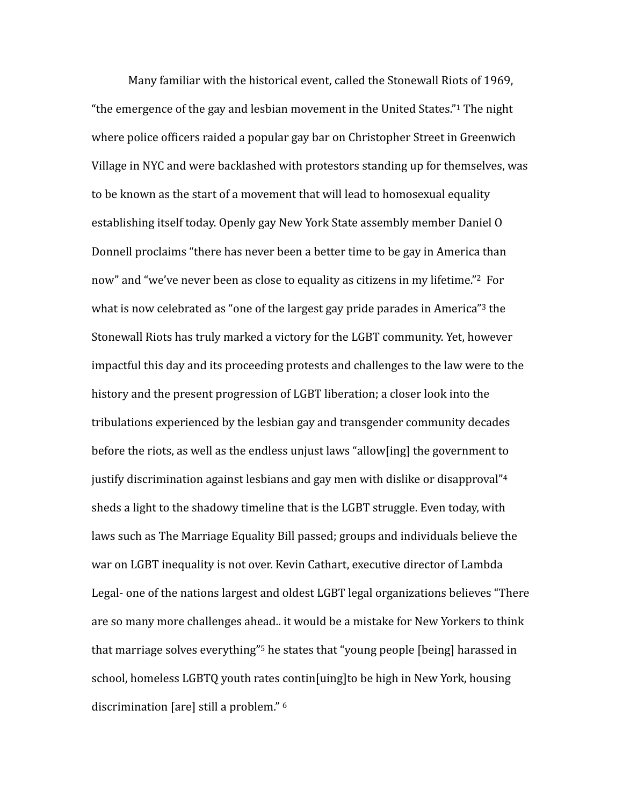<span id="page-0-5"></span><span id="page-0-4"></span><span id="page-0-3"></span><span id="page-0-2"></span><span id="page-0-1"></span><span id="page-0-0"></span>Many familiar with the historical event, called the Stonewall Riots of 1969, "the emergence of the gay and lesbian movement in the United States." The night where police officers raided a popular gay bar on Christopher Street in Greenwich Village in NYC and were backlashed with protestors standing up for themselves, was to be known as the start of a movement that will lead to homosexual equality establishing itself today. Openly gay New York State assembly member Daniel O Donnell proclaims "there has never been a better time to be gay in America than now" and "we've never been as close to equality as citizens in my lifetime."<sup>[2](#page-13-1)</sup> For what is now celebrated as "one of the largest gay pride parades in America" the Stonewall Riots has truly marked a victory for the LGBT community. Yet, however impactful this day and its proceeding protests and challenges to the law were to the history and the present progression of LGBT liberation; a closer look into the tribulations experienced by the lesbian gay and transgender community decades before the riots, as well as the endless unjust laws "allow[ing] the government to justify discrimination against lesbians and gay men with dislike or disapproval"<sup>[4](#page-13-3)</sup> sheds a light to the shadowy timeline that is the LGBT struggle. Even today, with laws such as The Marriage Equality Bill passed; groups and individuals believe the war on LGBT inequality is not over. Kevin Cathart, executive director of Lambda Legal- one of the nations largest and oldest LGBT legal organizations believes "There are so many more challenges ahead.. it would be a mistake for New Yorkers to think that marriage solves everything"<sup>[5](#page-13-4)</sup> he states that "young people [being] harassed in school, homeless LGBTQ youth rates contin[uing]to be high in New York, housing discrimination [are] still a problem." <sup>[6](#page-13-5)</sup>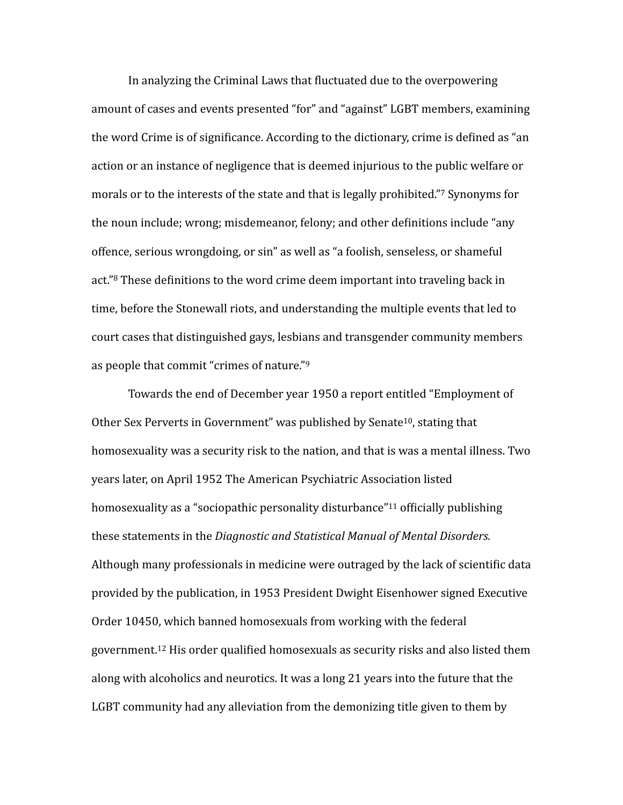<span id="page-1-0"></span>In analyzing the Criminal Laws that fluctuated due to the overpowering amount of cases and events presented "for" and "against" LGBT members, examining the word Crime is of significance. According to the dictionary, crime is defined as "an action or an instance of negligence that is deemed injurious to the public welfare or morals or to the interests of the state and that is legally prohibited."<sup>[7](#page-13-6)</sup> Synonyms for the noun include; wrong; misdemeanor, felony; and other definitions include "any offence, serious wrongdoing, or sin" as well as "a foolish, senseless, or shameful act." $8$  These definitions to the word crime deem important into traveling back in time, before the Stonewall riots, and understanding the multiple events that led to court cases that distinguished gays, lesbians and transgender community members as people that commit "crimes of nature."  $9$ 

<span id="page-1-5"></span><span id="page-1-4"></span><span id="page-1-3"></span><span id="page-1-2"></span><span id="page-1-1"></span>Towards the end of December year 1950 a report entitled "Employment of Other Sex Perverts in Government" was published by Senate<sup>[10](#page-13-9)</sup>, stating that homosexuality was a security risk to the nation, and that is was a mental illness. Two years later, on April 1952 The American Psychiatric Association listed homosexuality as a "sociopathic personality disturbance" <sup>[11](#page-13-10)</sup> officially publishing these statements in the *Diagnostic and Statistical Manual of Mental Disorders.* Although many professionals in medicine were outraged by the lack of scientific data provided by the publication, in 1953 President Dwight Eisenhower signed Executive Order 10450, which banned homosexuals from working with the federal government.<sup>[12](#page-13-11)</sup> His order qualified homosexuals as security risks and also listed them along with alcoholics and neurotics. It was a long 21 years into the future that the LGBT community had any alleviation from the demonizing title given to them by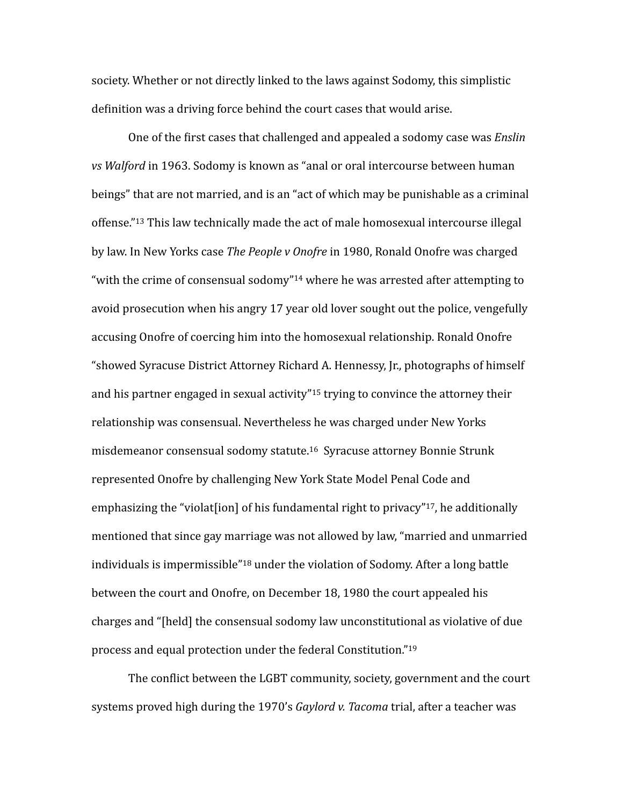society. Whether or not directly linked to the laws against Sodomy, this simplistic definition was a driving force behind the court cases that would arise.

<span id="page-2-2"></span><span id="page-2-1"></span><span id="page-2-0"></span>One of the first cases that challenged and appealed a sodomy case was *Enslin* vs Walford in 1963. Sodomy is known as "anal or oral intercourse between human beings" that are not married, and is an "act of which may be punishable as a criminal offense."<sup>[13](#page-13-12)</sup> This law technically made the act of male homosexual intercourse illegal by law. In New Yorks case The People v Onofre in 1980, Ronald Onofre was charged "with the crime of consensual sodomy" $14$  where he was arrested after attempting to avoid prosecution when his angry  $17$  year old lover sought out the police, vengefully accusing Onofre of coercing him into the homosexual relationship. Ronald Onofre "showed Syracuse District Attorney Richard A. Hennessy, Jr., photographs of himself and his partner engaged in sexual activity"<sup>[15](#page-14-0)</sup> trying to convince the attorney their relationship was consensual. Nevertheless he was charged under New Yorks misdemeanor consensual sodomy statute.<sup>[16](#page-14-1)</sup> Syracuse attorney Bonnie Strunk represented Onofre by challenging New York State Model Penal Code and emphasizing the "violat [ion] of his fundamental right to privacy"<sup>[17](#page-14-2)</sup>, he additionally mentioned that since gay marriage was not allowed by law, "married and unmarried individuals is impermissible<sup>"[18](#page-14-3)</sup> under the violation of Sodomy. After a long battle between the court and Onofre, on December 18, 1980 the court appealed his charges and "[held] the consensual sodomy law unconstitutional as violative of due process and equal protection under the federal Constitution."<sup>19</sup>

<span id="page-2-6"></span><span id="page-2-5"></span><span id="page-2-4"></span><span id="page-2-3"></span>The conflict between the LGBT community, society, government and the court systems proved high during the 1970's *Gaylord v. Tacoma* trial, after a teacher was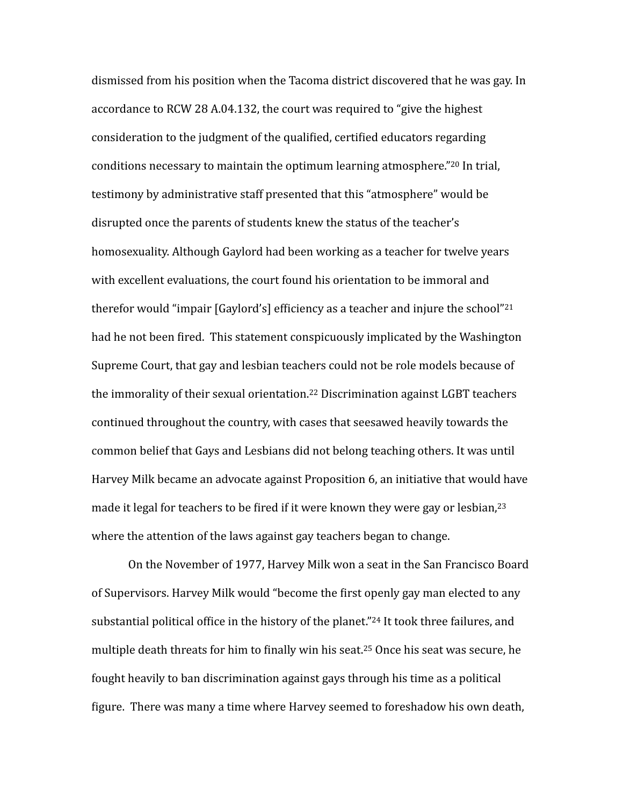<span id="page-3-1"></span><span id="page-3-0"></span>dismissed from his position when the Tacoma district discovered that he was gay. In accordance to RCW 28 A.04.132, the court was required to "give the highest" consideration to the judgment of the qualified, certified educators regarding conditions necessary to maintain the optimum learning atmosphere." $20$  In trial, testimony by administrative staff presented that this "atmosphere" would be disrupted once the parents of students knew the status of the teacher's homosexuality. Although Gaylord had been working as a teacher for twelve years with excellent evaluations, the court found his orientation to be immoral and therefor would "impair  $[Gavlord's]$  efficiency as a teacher and injure the school"<sup>[21](#page-14-6)</sup> had he not been fired. This statement conspicuously implicated by the Washington Supreme Court, that gay and lesbian teachers could not be role models because of the immorality of their sexual orientation.<sup>[22](#page-14-7)</sup> Discrimination against LGBT teachers continued throughout the country, with cases that seesawed heavily towards the common belief that Gays and Lesbians did not belong teaching others. It was until Harvey Milk became an advocate against Proposition 6, an initiative that would have made it legal for teachers to be fired if it were known they were gay or lesbian,  $23$ where the attention of the laws against gay teachers began to change.

<span id="page-3-5"></span><span id="page-3-4"></span><span id="page-3-3"></span><span id="page-3-2"></span>On the November of 1977, Harvey Milk won a seat in the San Francisco Board of Supervisors. Harvey Milk would "become the first openly gay man elected to any substantial political office in the history of the planet."<sup>[24](#page-14-9)</sup> It took three failures, and multiple death threats for him to finally win his seat.<sup>[25](#page-14-10)</sup> Once his seat was secure, he fought heavily to ban discrimination against gays through his time as a political figure. There was many a time where Harvey seemed to foreshadow his own death,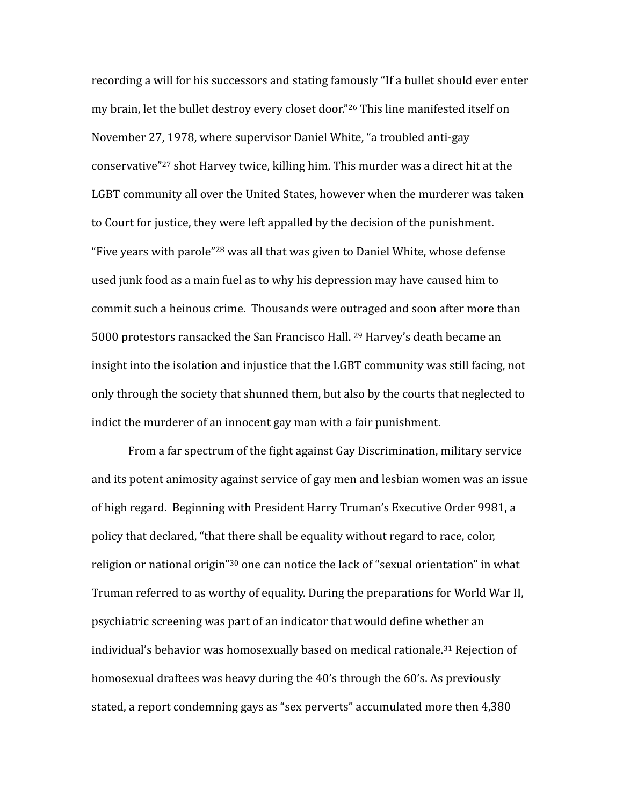<span id="page-4-2"></span><span id="page-4-1"></span><span id="page-4-0"></span>recording a will for his successors and stating famously "If a bullet should ever enter my brain, let the bullet destroy every closet door."  $26$  This line manifested itself on November 27, 1978, where supervisor Daniel White, "a troubled anti-gay conservative"<sup>[27](#page-14-12)</sup> shot Harvey twice, killing him. This murder was a direct hit at the LGBT community all over the United States, however when the murderer was taken to Court for justice, they were left appalled by the decision of the punishment. "Five years with parole"<sup>[28](#page-14-13)</sup> was all that was given to Daniel White, whose defense used junk food as a main fuel as to why his depression may have caused him to commit such a heinous crime. Thousands were outraged and soon after more than 5000 protestors ransacked the San Francisco Hall. <sup>[29](#page-14-14)</sup> Harvey's death became an insight into the isolation and injustice that the LGBT community was still facing, not only through the society that shunned them, but also by the courts that neglected to indict the murderer of an innocent gay man with a fair punishment.

<span id="page-4-5"></span><span id="page-4-4"></span><span id="page-4-3"></span>From a far spectrum of the fight against Gay Discrimination, military service and its potent animosity against service of gay men and lesbian women was an issue of high regard. Beginning with President Harry Truman's Executive Order 9981, a policy that declared, "that there shall be equality without regard to race, color, religion or national origin" $30$  one can notice the lack of "sexual orientation" in what Truman referred to as worthy of equality. During the preparations for World War II, psychiatric screening was part of an indicator that would define whether an individual's behavior was homosexually based on medical rationale.<sup>[31](#page-14-16)</sup> Rejection of homosexual draftees was heavy during the 40's through the 60's. As previously stated, a report condemning gays as "sex perverts" accumulated more then 4,380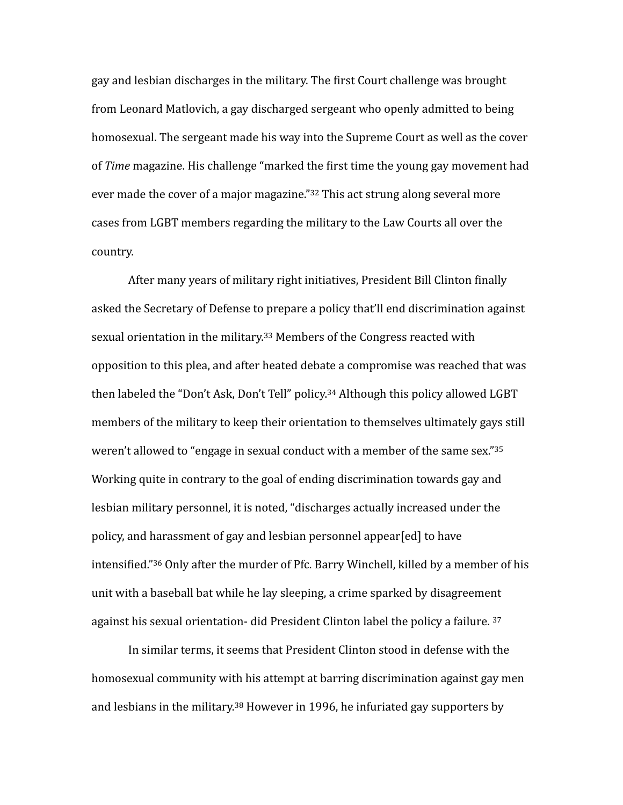gay and lesbian discharges in the military. The first Court challenge was brought from Leonard Matlovich, a gay discharged sergeant who openly admitted to being homosexual. The sergeant made his way into the Supreme Court as well as the cover of *Time* magazine. His challenge "marked the first time the young gay movement had ever made the cover of a major magazine." $32$  This act strung along several more cases from LGBT members regarding the military to the Law Courts all over the country. 

<span id="page-5-3"></span><span id="page-5-2"></span><span id="page-5-1"></span><span id="page-5-0"></span>After many years of military right initiatives, President Bill Clinton finally asked the Secretary of Defense to prepare a policy that'll end discrimination against sexual orientation in the military.<sup>[33](#page-14-18)</sup> Members of the Congress reacted with opposition to this plea, and after heated debate a compromise was reached that was then labeled the "Don't Ask, Don't Tell" policy.<sup>[34](#page-14-19)</sup> Although this policy allowed LGBT members of the military to keep their orientation to themselves ultimately gays still weren't allowed to "engage in sexual conduct with a member of the same sex." $35$ Working quite in contrary to the goal of ending discrimination towards gay and lesbian military personnel, it is noted, "discharges actually increased under the policy, and harassment of gay and lesbian personnel appear[ed] to have intensified." [36](#page-15-1) Only after the murder of Pfc. Barry Winchell, killed by a member of his unit with a baseball bat while he lay sleeping, a crime sparked by disagreement against his sexual orientation- did President Clinton label the policy a failure.  $37$ 

<span id="page-5-6"></span><span id="page-5-5"></span><span id="page-5-4"></span>In similar terms, it seems that President Clinton stood in defense with the homosexual community with his attempt at barring discrimination against gay men and lesbians in the military.<sup>[38](#page-15-3)</sup> However in 1996, he infuriated gay supporters by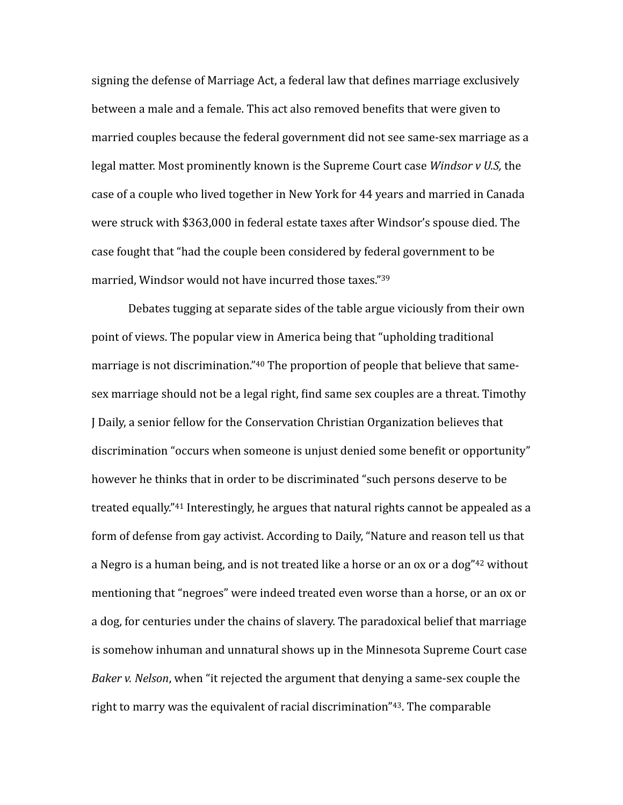signing the defense of Marriage Act, a federal law that defines marriage exclusively between a male and a female. This act also removed benefits that were given to married couples because the federal government did not see same-sex marriage as a legal matter. Most prominently known is the Supreme Court case *Windsor v U.S,* the case of a couple who lived together in New York for 44 years and married in Canada were struck with \$363,000 in federal estate taxes after Windsor's spouse died. The case fought that "had the couple been considered by federal government to be married, Windsor would not have incurred those taxes."[39](#page-15-4)

<span id="page-6-4"></span><span id="page-6-3"></span><span id="page-6-2"></span><span id="page-6-1"></span><span id="page-6-0"></span>Debates tugging at separate sides of the table argue viciously from their own point of views. The popular view in America being that "upholding traditional marriage is not discrimination."<sup>[40](#page-15-5)</sup> The proportion of people that believe that samesex marriage should not be a legal right, find same sex couples are a threat. Timothy I Daily, a senior fellow for the Conservation Christian Organization believes that discrimination "occurs when someone is unjust denied some benefit or opportunity" however he thinks that in order to be discriminated "such persons deserve to be treated equally."<sup>[41](#page-15-6)</sup> Interestingly, he argues that natural rights cannot be appealed as a form of defense from gay activist. According to Daily, "Nature and reason tell us that a Negro is a human being, and is not treated like a horse or an ox or a dog" $42$  without mentioning that "negroes" were indeed treated even worse than a horse, or an ox or a dog, for centuries under the chains of slavery. The paradoxical belief that marriage is somehow inhuman and unnatural shows up in the Minnesota Supreme Court case *Baker v. Nelson*, when "it rejected the argument that denying a same-sex couple the right to marry was the equivalent of racial discrimination" $43$ . The comparable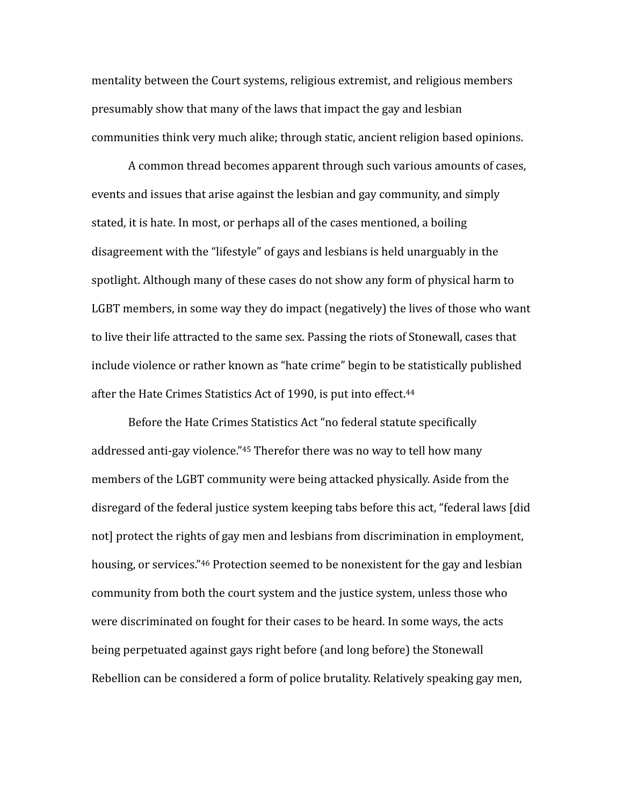mentality between the Court systems, religious extremist, and religious members presumably show that many of the laws that impact the gay and lesbian communities think very much alike; through static, ancient religion based opinions.

A common thread becomes apparent through such various amounts of cases, events and issues that arise against the lesbian and gay community, and simply stated, it is hate. In most, or perhaps all of the cases mentioned, a boiling disagreement with the "lifestyle" of gays and lesbians is held unarguably in the spotlight. Although many of these cases do not show any form of physical harm to LGBT members, in some way they do impact (negatively) the lives of those who want to live their life attracted to the same sex. Passing the riots of Stonewall, cases that include violence or rather known as "hate crime" begin to be statistically published after the Hate Crimes Statistics Act of 1990, is put into effect.<sup>[44](#page-15-9)</sup>

<span id="page-7-2"></span><span id="page-7-1"></span><span id="page-7-0"></span>Before the Hate Crimes Statistics Act "no federal statute specifically addressed anti-gay violence."<sup>[45](#page-15-10)</sup> Therefor there was no way to tell how many members of the LGBT community were being attacked physically. Aside from the disregard of the federal justice system keeping tabs before this act, "federal laws [did] not] protect the rights of gay men and lesbians from discrimination in employment, housing, or services."<sup>[46](#page-15-11)</sup> Protection seemed to be nonexistent for the gay and lesbian community from both the court system and the justice system, unless those who were discriminated on fought for their cases to be heard. In some ways, the acts being perpetuated against gays right before (and long before) the Stonewall Rebellion can be considered a form of police brutality. Relatively speaking gay men,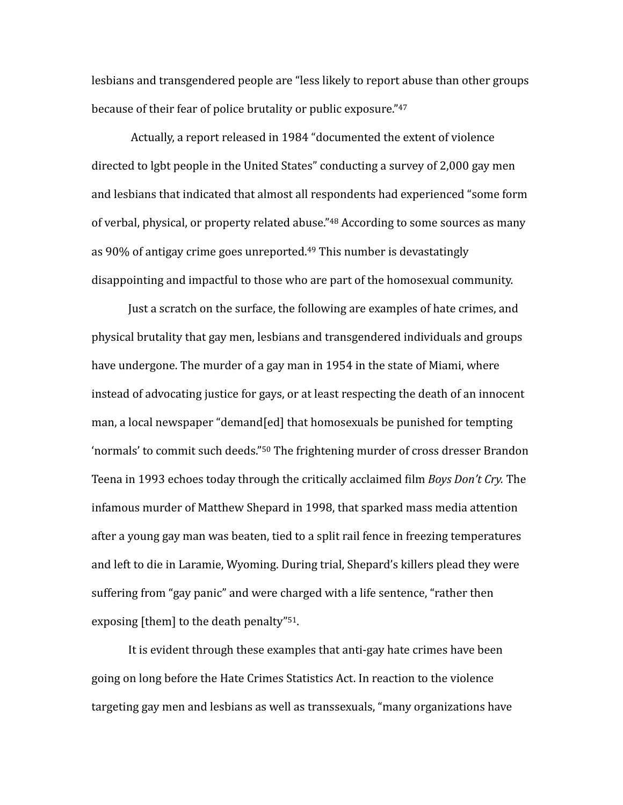<span id="page-8-0"></span>lesbians and transgendered people are "less likely to report abuse than other groups because of their fear of police brutality or public exposure."<sup>[47](#page-15-12)</sup>

<span id="page-8-1"></span>Actually, a report released in 1984 "documented the extent of violence directed to lgbt people in the United States" conducting a survey of 2,000 gay men and lesbians that indicated that almost all respondents had experienced "some form of verbal, physical, or property related abuse." <sup>[48](#page-15-13)</sup> According to some sources as many as  $90\%$  of antigay crime goes unreported.<sup>[49](#page-15-14)</sup> This number is devastatingly disappointing and impactful to those who are part of the homosexual community.

<span id="page-8-3"></span><span id="page-8-2"></span>Just a scratch on the surface, the following are examples of hate crimes, and physical brutality that gay men, lesbians and transgendered individuals and groups have undergone. The murder of a gay man in 1954 in the state of Miami, where instead of advocating justice for gays, or at least respecting the death of an innocent man, a local newspaper "demand[ed] that homosexuals be punished for tempting 'normals' to commit such deeds."<sup>[50](#page-15-15)</sup> The frightening murder of cross dresser Brandon Teena in 1993 echoes today through the critically acclaimed film *Boys Don't Cry.* The infamous murder of Matthew Shepard in 1998, that sparked mass media attention after a young gay man was beaten, tied to a split rail fence in freezing temperatures and left to die in Laramie, Wyoming. During trial, Shepard's killers plead they were suffering from "gay panic" and were charged with a life sentence, "rather then exposing  $[them]$  to the death penalty"  $51$ .

<span id="page-8-4"></span>It is evident through these examples that anti-gay hate crimes have been going on long before the Hate Crimes Statistics Act. In reaction to the violence targeting gay men and lesbians as well as transsexuals, "many organizations have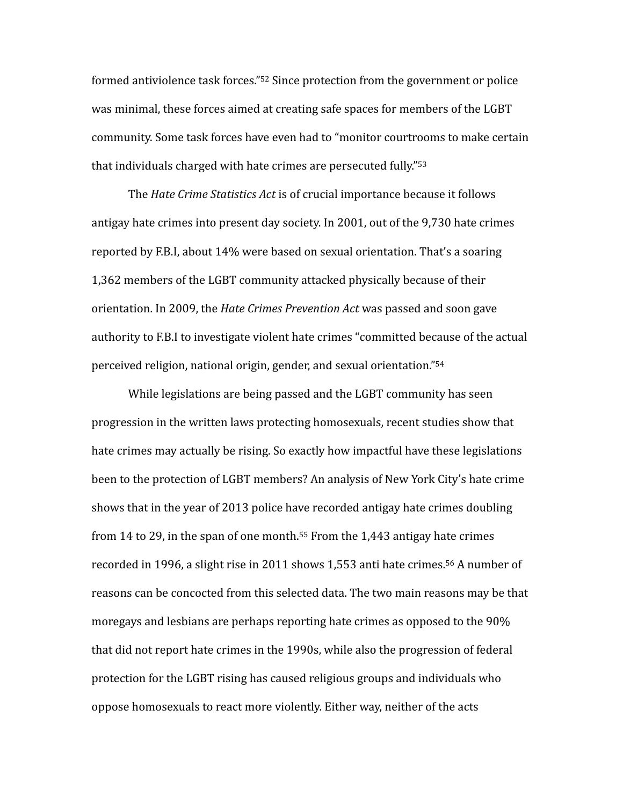<span id="page-9-0"></span>formed antiviolence task forces."<sup>[52](#page-15-17)</sup> Since protection from the government or police was minimal, these forces aimed at creating safe spaces for members of the LGBT community. Some task forces have even had to "monitor courtrooms to make certain that individuals charged with hate crimes are persecuted fully." $53$ 

<span id="page-9-1"></span>The *Hate Crime Statistics Act* is of crucial importance because it follows antigay hate crimes into present day society. In 2001, out of the 9,730 hate crimes reported by F.B.I, about 14% were based on sexual orientation. That's a soaring 1,362 members of the LGBT community attacked physically because of their orientation. In 2009, the *Hate Crimes Prevention Act* was passed and soon gave authority to F.B.I to investigate violent hate crimes "committed because of the actual perceived religion, national origin, gender, and sexual orientation."<sup>[54](#page-15-19)</sup>

<span id="page-9-4"></span><span id="page-9-3"></span><span id="page-9-2"></span>While legislations are being passed and the LGBT community has seen progression in the written laws protecting homosexuals, recent studies show that hate crimes may actually be rising. So exactly how impactful have these legislations been to the protection of LGBT members? An analysis of New York City's hate crime shows that in the year of 2013 police have recorded antigay hate crimes doubling from 14 to 29, in the span of one month.<sup>[55](#page-15-20)</sup> From the 1,443 antigay hate crimes recorded in 1996, a slight rise in 2011 shows 1,553 anti hate crimes.<sup>[56](#page-15-21)</sup> A number of reasons can be concocted from this selected data. The two main reasons may be that moregays and lesbians are perhaps reporting hate crimes as opposed to the 90% that did not report hate crimes in the 1990s, while also the progression of federal protection for the LGBT rising has caused religious groups and individuals who oppose homosexuals to react more violently. Either way, neither of the acts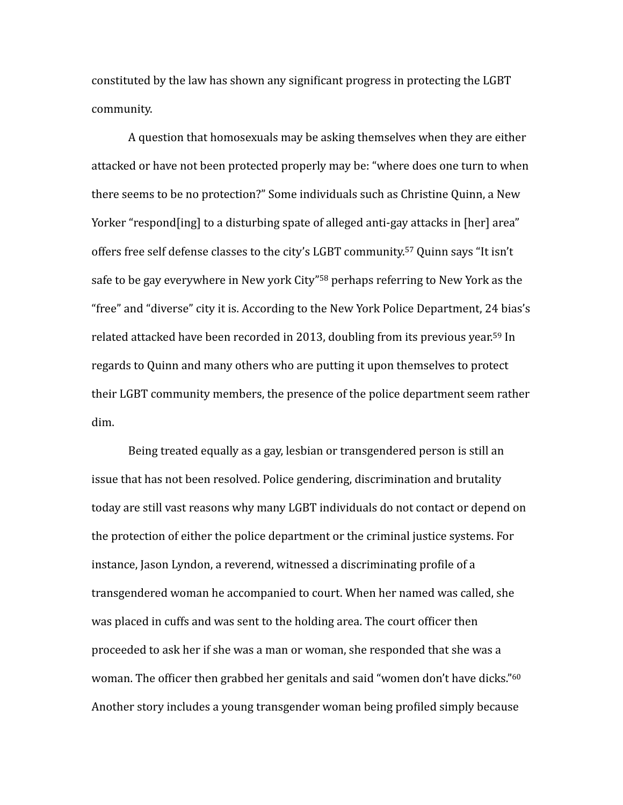constituted by the law has shown any significant progress in protecting the LGBT community. 

<span id="page-10-1"></span><span id="page-10-0"></span>A question that homosexuals may be asking themselves when they are either attacked or have not been protected properly may be: "where does one turn to when there seems to be no protection?" Some individuals such as Christine Quinn, a New Yorker "respond [ing] to a disturbing spate of alleged anti-gay attacks in [her] area" offers free self defense classes to the city's LGBT community.<sup>[57](#page-16-0)</sup> Quinn says "It isn't safe to be gay everywhere in New york City"<sup>[58](#page-16-1)</sup> perhaps referring to New York as the "free" and "diverse" city it is. According to the New York Police Department, 24 bias's related attacked have been recorded in 2013, doubling from its previous year.<sup>[59](#page-16-2)</sup> In regards to Quinn and many others who are putting it upon themselves to protect their LGBT community members, the presence of the police department seem rather dim. 

<span id="page-10-3"></span><span id="page-10-2"></span>Being treated equally as a gay, lesbian or transgendered person is still an issue that has not been resolved. Police gendering, discrimination and brutality today are still vast reasons why many LGBT individuals do not contact or depend on the protection of either the police department or the criminal justice systems. For instance, Jason Lyndon, a reverend, witnessed a discriminating profile of a transgendered woman he accompanied to court. When her named was called, she was placed in cuffs and was sent to the holding area. The court officer then proceeded to ask her if she was a man or woman, she responded that she was a woman. The officer then grabbed her genitals and said "women don't have dicks."<sup>60</sup> Another story includes a young transgender woman being profiled simply because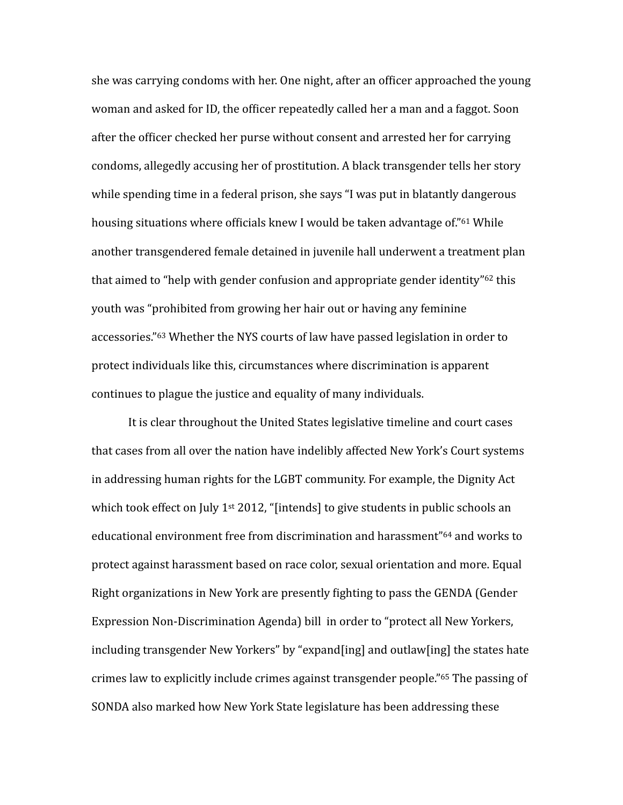<span id="page-11-0"></span>she was carrying condoms with her. One night, after an officer approached the young woman and asked for ID, the officer repeatedly called her a man and a faggot. Soon after the officer checked her purse without consent and arrested her for carrying condoms, allegedly accusing her of prostitution. A black transgender tells her story while spending time in a federal prison, she says "I was put in blatantly dangerous housing situations where officials knew I would be taken advantage of."<sup>[61](#page-16-4)</sup> While another transgendered female detained in juvenile hall underwent a treatment plan that aimed to "help with gender confusion and appropriate gender identity" $62$  this vouth was "prohibited from growing her hair out or having any feminine accessories."<sup>[63](#page-16-6)</sup> Whether the NYS courts of law have passed legislation in order to protect individuals like this, circumstances where discrimination is apparent continues to plague the justice and equality of many individuals.

<span id="page-11-4"></span><span id="page-11-3"></span><span id="page-11-2"></span><span id="page-11-1"></span>It is clear throughout the United States legislative timeline and court cases that cases from all over the nation have indelibly affected New York's Court systems in addressing human rights for the LGBT community. For example, the Dignity Act which took effect on July 1<sup>st</sup> 2012, "[intends] to give students in public schools an educational environment free from discrimination and harassment"<sup>[64](#page-16-7)</sup> and works to protect against harassment based on race color, sexual orientation and more. Equal Right organizations in New York are presently fighting to pass the GENDA (Gender Expression Non-Discrimination Agenda) bill in order to "protect all New Yorkers, including transgender New Yorkers" by "expand [ing] and outlaw [ing] the states hate crimes law to explicitly include crimes against transgender people."<sup>[65](#page-16-8)</sup> The passing of SONDA also marked how New York State legislature has been addressing these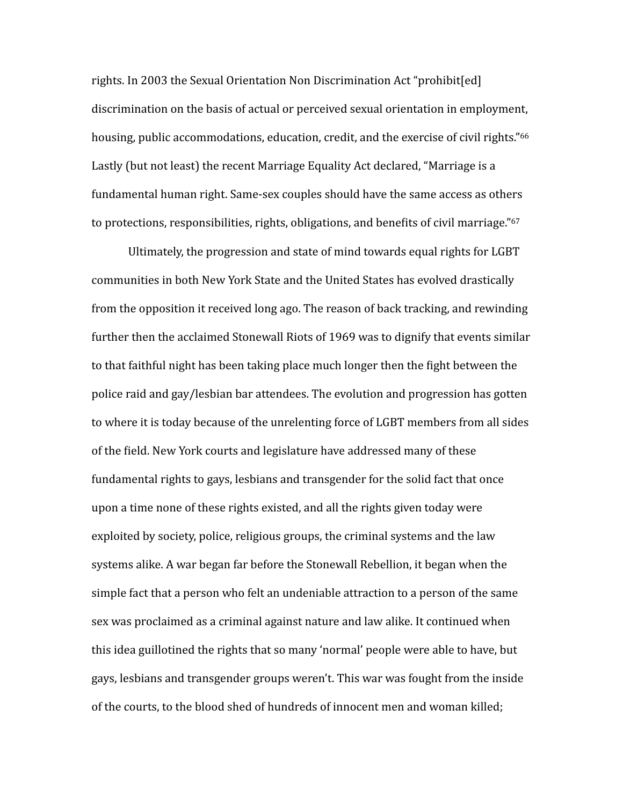<span id="page-12-0"></span>rights. In 2003 the Sexual Orientation Non Discrimination Act "prohibit[ed] discrimination on the basis of actual or perceived sexual orientation in employment, housing, public accommodations, education, credit, and the exercise of civil rights."<sup>66</sup> Lastly (but not least) the recent Marriage Equality Act declared, "Marriage is a fundamental human right. Same-sex couples should have the same access as others to protections, responsibilities, rights, obligations, and benefits of civil marriage."<sup>67</sup>

<span id="page-12-1"></span>Ultimately, the progression and state of mind towards equal rights for LGBT communities in both New York State and the United States has evolved drastically from the opposition it received long ago. The reason of back tracking, and rewinding further then the acclaimed Stonewall Riots of 1969 was to dignify that events similar to that faithful night has been taking place much longer then the fight between the police raid and gay/lesbian bar attendees. The evolution and progression has gotten to where it is today because of the unrelenting force of LGBT members from all sides of the field. New York courts and legislature have addressed many of these fundamental rights to gays, lesbians and transgender for the solid fact that once upon a time none of these rights existed, and all the rights given today were exploited by society, police, religious groups, the criminal systems and the law systems alike. A war began far before the Stonewall Rebellion, it began when the simple fact that a person who felt an undeniable attraction to a person of the same sex was proclaimed as a criminal against nature and law alike. It continued when this idea guillotined the rights that so many 'normal' people were able to have, but gays, lesbians and transgender groups weren't. This war was fought from the inside of the courts, to the blood shed of hundreds of innocent men and woman killed;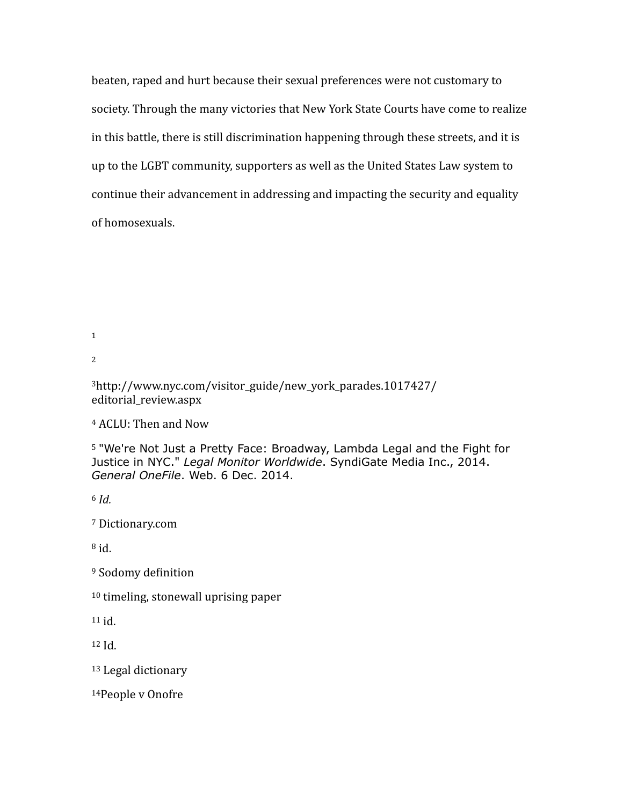beaten, raped and hurt because their sexual preferences were not customary to society. Through the many victories that New York State Courts have come to realize in this battle, there is still discrimination happening through these streets, and it is up to the LGBT community, supporters as well as the United States Law system to continue their advancement in addressing and impacting the security and equality of homosexuals.

<span id="page-13-0"></span>[1](#page-0-0)

<span id="page-13-1"></span>[2](#page-0-1)

<span id="page-13-2"></span>[3](#page-0-2)http://www.nyc.com/visitor\_guide/new\_york\_parades.1017427/ editorial\_review.aspx

<span id="page-13-3"></span><sup>[4](#page-0-3)</sup> ACLU: Then and Now

<span id="page-13-4"></span><sup>[5](#page-0-4)</sup> "We're Not Just a Pretty Face: Broadway, Lambda Legal and the Fight for Justice in NYC." *Legal Monitor Worldwide*. SyndiGate Media Inc., 2014. *General OneFile*. Web. 6 Dec. 2014.

<span id="page-13-5"></span>*Id.* [6](#page-0-5)

<span id="page-13-6"></span>[7](#page-1-0) Dictionary.com

<span id="page-13-7"></span> $\overline{h}$ id.

<span id="page-13-8"></span><sup>[9](#page-1-2)</sup> Sodomy definition

<span id="page-13-9"></span> $10$  timeling, stonewall uprising paper

<span id="page-13-10"></span> $11$  id.

<span id="page-13-11"></span> $12$  Id.

<span id="page-13-12"></span><sup>13</sup> Legal dictionary

<span id="page-13-13"></span>[14P](#page-2-1)eople v Onofre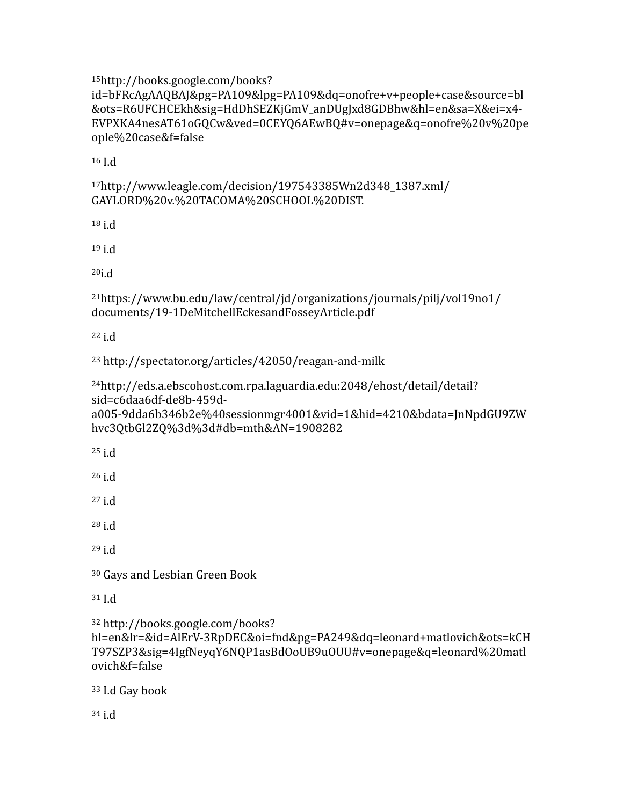<span id="page-14-0"></span>http://books.google.com/books? [15](#page-2-2)

id=bFRcAgAAQBAJ&pg=PA109&lpg=PA109&dq=onofre+v+people+case&source=bl &ots=R6UFCHCEkh&sig=HdDhSEZKjGmV\_anDUgJxd8GDBhw&hl=en&sa=X&ei=x4- EVPXKA4nesAT61oGQCw&ved=0CEYQ6AEwBQ#v=onepage&q=onofre%20v%20pe ople%20case&f=false

<span id="page-14-1"></span> $16$  I.d

<span id="page-14-2"></span>[17h](#page-2-4)ttp://www.leagle.com/decision/197543385Wn2d348\_1387.xml/ GAYLORD%20v.%20TACOMA%20SCHOOL%20DIST.

<span id="page-14-3"></span> $18$  i.d

<span id="page-14-4"></span> $19$  i.d

<span id="page-14-5"></span> $20i.d$  $20i.d$ 

<span id="page-14-6"></span>[21h](#page-3-1)ttps://www.bu.edu/law/central/jd/organizations/journals/pilj/vol19no1/ documents/19-1DeMitchellEckesandFosseyArticle.pdf

<span id="page-14-7"></span> $22$  i.d

<span id="page-14-8"></span>[23](#page-3-3) http://spectator.org/articles/42050/reagan-and-milk

<span id="page-14-9"></span>http://eds.a.ebscohost.com.rpa.laguardia.edu:2048/ehost/detail/detail? [24](#page-3-4) sid=c6daa6df-de8b-459da005-9dda6b346b2e%40sessionmgr4001&vid=1&hid=4210&bdata=JnNpdGU9ZW hvc3QtbGl2ZQ%3d%3d#db=mth&AN=1908282

<span id="page-14-10"></span> $25$  i.d

<span id="page-14-11"></span> $26$  i.d

<span id="page-14-12"></span> $27$  i.d

<span id="page-14-13"></span> $28$  i.d

<span id="page-14-14"></span> $29$  i.d

<span id="page-14-15"></span><sup>30</sup> Gays and Lesbian Green Book

<span id="page-14-16"></span> $31$  I.d

<span id="page-14-17"></span> http://books.google.com/books? [32](#page-5-0)

hl=en&lr=&id=AlErV-3RpDEC&oi=fnd&pg=PA249&dq=leonard+matlovich&ots=kCH T97SZP3&sig=4IgfNeyqY6NQP1asBdOoUB9uOUU#v=onepage&q=leonard%20matl ovich&f=false

<span id="page-14-18"></span><sup>33</sup> I.d Gay book

<span id="page-14-19"></span> $34$  i.d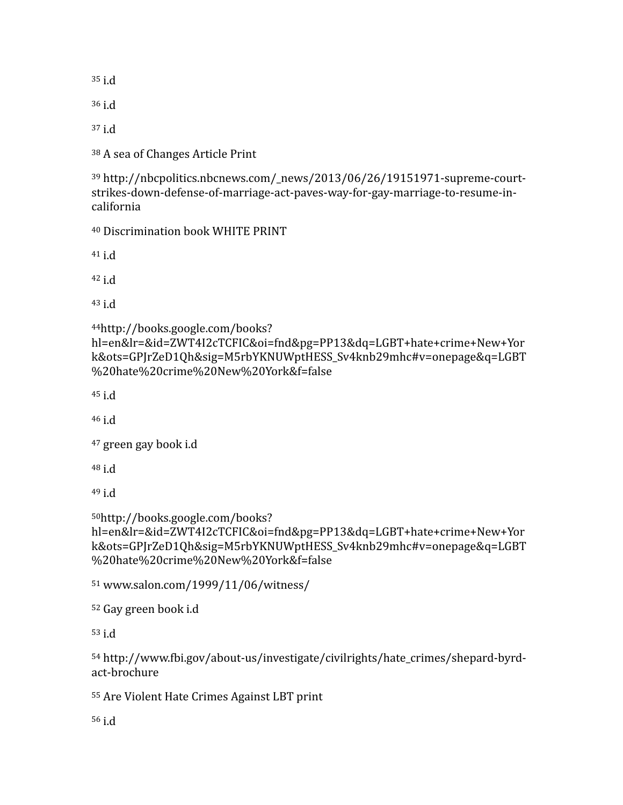<span id="page-15-0"></span> $35$  i.d

<span id="page-15-1"></span> $36$  i.d

<span id="page-15-2"></span> $37$  i.d

<span id="page-15-3"></span>[38](#page-5-6) A sea of Changes Article Print

<span id="page-15-4"></span><sup>[39](#page-6-0)</sup> http://nbcpolitics.nbcnews.com/\_news/2013/06/26/19151971-supreme-courtstrikes-down-defense-of-marriage-act-paves-way-for-gay-marriage-to-resume-incalifornia

<span id="page-15-5"></span>[40](#page-6-1) Discrimination book WHITE PRINT

<span id="page-15-6"></span> $41$  i.d

<span id="page-15-7"></span> $42$  i.d

<span id="page-15-8"></span> $43$  i.d

<span id="page-15-9"></span>http://books.google.com/books? [44](#page-7-0)

```
hl=en&lr=&id=ZWT4I2cTCFIC&oi=fnd&pg=PP13&dq=LGBT+hate+crime+New+Yor
k&ots=GPJrZeD1Qh&sig=M5rbYKNUWptHESS_Sv4knb29mhc#v=onepage&q=LGBT
%20hate%20crime%20New%20York&f=false
```
<span id="page-15-10"></span> $45$  i.d

<span id="page-15-11"></span> $46$  i.d

```
<sup>47</sup> green gay book i.d
```
<span id="page-15-13"></span> $48$  i.d

<span id="page-15-14"></span> $49$  i.d

```
http://books.google.com/books? 50
```

```
hl=en&lr=&id=ZWT4I2cTCFIC&oi=fnd&pg=PP13&dq=LGBT+hate+crime+New+Yor
k&ots=GPJrZeD1Qh&sig=M5rbYKNUWptHESS_Sv4knb29mhc#v=onepage&q=LGBT
%20hate%20crime%20New%20York&f=false
```
<span id="page-15-16"></span>51 www.salon.com/1999/11/06/witness/

```
<sup>52</sup> Gay green book i.d
```
<span id="page-15-18"></span> $53$  i.d

<span id="page-15-19"></span>[54](#page-9-2) http://www.fbi.gov/about-us/investigate/civilrights/hate\_crimes/shepard-byrdact-brochure

```
55 Are Violent Hate Crimes Against LBT print
```
<span id="page-15-21"></span>[56](#page-9-4) i.d